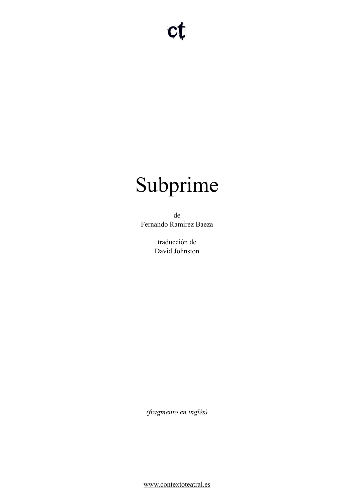# Subprime

de Fernando Ramírez Baeza

> traducción de David Johnston

*(fragmento en inglés)* 

[www.contextoteatral.es](http://www.contextoteatral.es)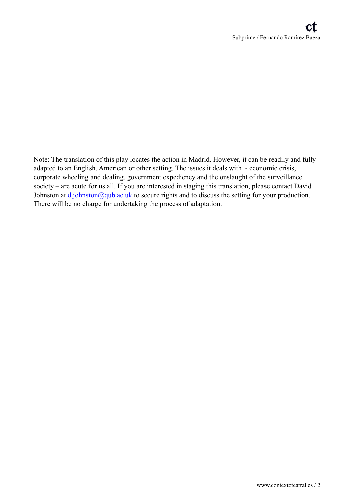Note: The translation of this play locates the action in Madrid. However, it can be readily and fully adapted to an English, American or other setting. The issues it deals with - economic crisis, corporate wheeling and dealing, government expediency and the onslaught of the surveillance society – are acute for us all. If you are interested in staging this translation, please contact David Johnston at  $d$  johnston@qub.ac.uk to secure rights and to discuss the setting for your production. There will be no charge for undertaking the process of adaptation.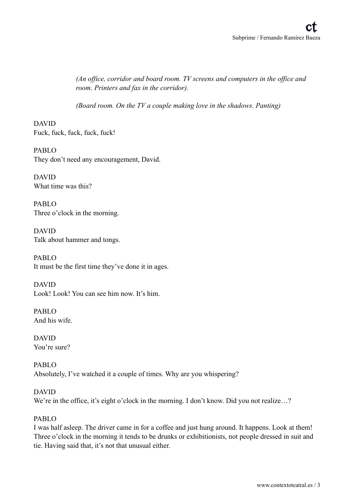*(An office, corridor and board room. TV screens and computers in the office and room. Printers and fax in the corridor).* 

*(Board room. On the TV a couple making love in the shadows. Panting)* 

DAVID Fuck, fuck, fuck, fuck, fuck!

PABLO They don't need any encouragement, David.

DAVID What time was this?

PABLO Three o'clock in the morning.

DAVID Talk about hammer and tongs.

PABLO It must be the first time they've done it in ages.

DAVID Look! Look! You can see him now. It's him.

PABLO And his wife.

DAVID You're sure?

PABLO Absolutely, I've watched it a couple of times. Why are you whispering?

DAVID We're in the office, it's eight o'clock in the morning. I don't know. Did you not realize...?

# PABLO

I was half asleep. The driver came in for a coffee and just hung around. It happens. Look at them! Three o'clock in the morning it tends to be drunks or exhibitionists, not people dressed in suit and tie. Having said that, it's not that unusual either.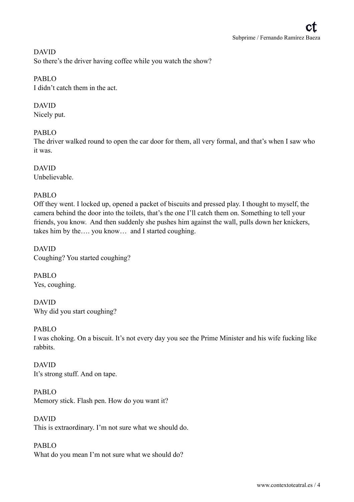DAVID So there's the driver having coffee while you watch the show?

PABLO

I didn't catch them in the act.

DAVID

Nicely put.

# PABLO

The driver walked round to open the car door for them, all very formal, and that's when I saw who it was.

DAVID Unbelievable.

# PABLO

Off they went. I locked up, opened a packet of biscuits and pressed play. I thought to myself, the camera behind the door into the toilets, that's the one I'll catch them on. Something to tell your friends, you know. And then suddenly she pushes him against the wall, pulls down her knickers, takes him by the…. you know… and I started coughing.

DAVID Coughing? You started coughing?

PABLO Yes, coughing.

DAVID Why did you start coughing?

PABLO I was choking. On a biscuit. It's not every day you see the Prime Minister and his wife fucking like rabbits.

DAVID It's strong stuff. And on tape.

PABLO Memory stick. Flash pen. How do you want it?

DAVID This is extraordinary. I'm not sure what we should do.

PABLO What do you mean I'm not sure what we should do?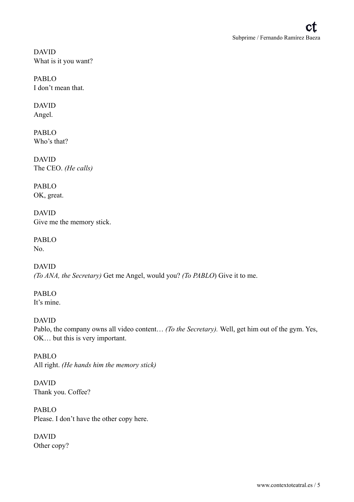DAVID What is it you want?

PABLO I don't mean that.

DAVID Angel.

PABLO Who's that?

DAVID The CEO. *(He calls)* 

PABLO OK, great.

DAVID Give me the memory stick.

PABLO No.

DAVID *(To ANA, the Secretary)* Get me Angel, would you? *(To PABLO*) Give it to me.

PABLO It's mine.

DAVID Pablo, the company owns all video content… *(To the Secretary).* Well, get him out of the gym. Yes, OK… but this is very important.

PABLO All right. *(He hands him the memory stick)*

DAVID Thank you. Coffee?

PABLO Please. I don't have the other copy here.

DAVID Other copy?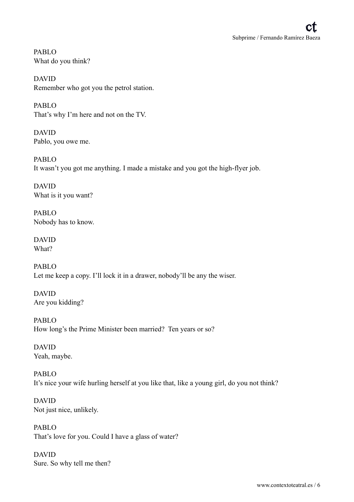PABLO What do you think?

DAVID Remember who got you the petrol station.

PABLO That's why I'm here and not on the TV.

DAVID Pablo, you owe me.

PABLO It wasn't you got me anything. I made a mistake and you got the high-flyer job.

DAVID What is it you want?

PABLO Nobody has to know.

DAVID What?

PABLO Let me keep a copy. I'll lock it in a drawer, nobody'll be any the wiser.

DAVID Are you kidding?

PABLO How long's the Prime Minister been married? Ten years or so?

DAVID Yeah, maybe.

PABLO It's nice your wife hurling herself at you like that, like a young girl, do you not think?

DAVID Not just nice, unlikely.

PABLO That's love for you. Could I have a glass of water?

DAVID Sure. So why tell me then?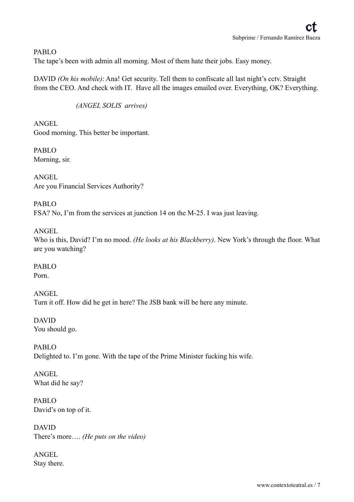# PABLO

The tape's been with admin all morning. Most of them hate their jobs. Easy money.

DAVID *(On his mobile)*: Ana! Get security. Tell them to confiscate all last night's cctv. Straight from the CEO. And check with IT. Have all the images emailed over. Everything, OK? Everything.

*(ANGEL SOLIS arrives)* 

ANGEL Good morning. This better be important.

PABLO Morning, sir.

ANGEL Are you Financial Services Authority?

PABLO FSA? No, I'm from the services at junction 14 on the M-25. I was just leaving.

ANGEL

Who is this, David? I'm no mood. *(He looks at his Blackberry)*. New York's through the floor. What are you watching?

PABLO Porn.

ANGEL Turn it off. How did he get in here? The JSB bank will be here any minute.

DAVID You should go.

PABLO Delighted to. I'm gone. With the tape of the Prime Minister fucking his wife.

ANGEL What did he say?

PABLO David's on top of it.

DAVID There's more…. *(He puts on the video)* 

ANGEL Stay there.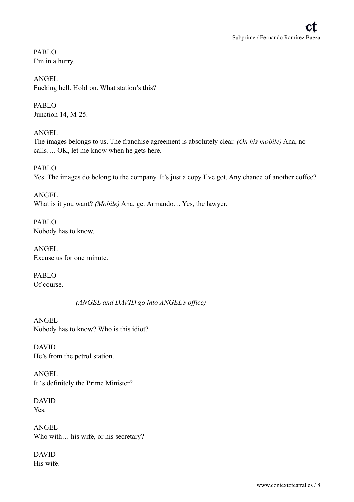PABLO I'm in a hurry.

ANGEL Fucking hell. Hold on. What station's this?

PABLO Junction 14, M-25.

ANGEL The images belongs to us. The franchise agreement is absolutely clear. *(On his mobile)* Ana, no calls…. OK, let me know when he gets here.

PABLO Yes. The images do belong to the company. It's just a copy I've got. Any chance of another coffee?

ANGEL What is it you want? *(Mobile)* Ana, get Armando… Yes, the lawyer.

PABLO Nobody has to know.

ANGEL Excuse us for one minute.

PABLO Of course.

*(ANGEL and DAVID go into ANGEL's office)* 

ANGEL Nobody has to know? Who is this idiot?

DAVID He's from the petrol station.

ANGEL It 's definitely the Prime Minister?

DAVID Yes.

ANGEL Who with... his wife, or his secretary?

DAVID His wife.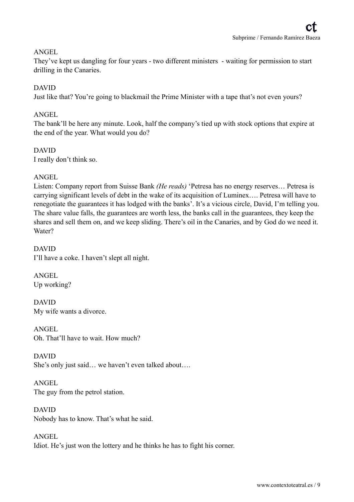# ANGEL

They've kept us dangling for four years - two different ministers - waiting for permission to start drilling in the Canaries.

#### DAVID

Just like that? You're going to blackmail the Prime Minister with a tape that's not even yours?

# ANGEL

The bank'll be here any minute. Look, half the company's tied up with stock options that expire at the end of the year. What would you do?

# DAVID

I really don't think so.

# ANGEL

Listen: Company report from Suisse Bank *(He reads)* 'Petresa has no energy reserves… Petresa is carrying significant levels of debt in the wake of its acquisition of Luminex…. Petresa will have to renegotiate the guarantees it has lodged with the banks'. It's a vicious circle, David, I'm telling you. The share value falls, the guarantees are worth less, the banks call in the guarantees, they keep the shares and sell them on, and we keep sliding. There's oil in the Canaries, and by God do we need it. Water?

# DAVID I'll have a coke. I haven't slept all night.

ANGEL Up working?

DAVID My wife wants a divorce.

ANGEL Oh. That'll have to wait. How much?

DAVID She's only just said… we haven't even talked about….

ANGEL The guy from the petrol station.

DAVID Nobody has to know. That's what he said.

ANGEL Idiot. He's just won the lottery and he thinks he has to fight his corner.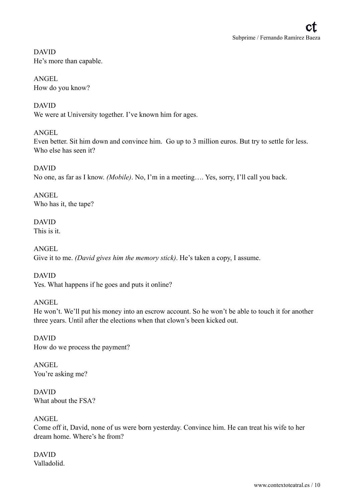DAVID He's more than capable.

ANGEL How do you know?

DAVID We were at University together. I've known him for ages.

# ANGEL

Even better. Sit him down and convince him. Go up to 3 million euros. But try to settle for less. Who else has seen it?

DAVID No one, as far as I know. *(Mobile)*. No, I'm in a meeting…. Yes, sorry, I'll call you back.

ANGEL Who has it, the tape?

DAVID This is it.

ANGEL Give it to me. *(David gives him the memory stick)*. He's taken a copy, I assume.

DAVID Yes. What happens if he goes and puts it online?

# ANGEL

He won't. We'll put his money into an escrow account. So he won't be able to touch it for another three years. Until after the elections when that clown's been kicked out.

DAVID How do we process the payment?

ANGEL You're asking me?

DAVID What about the FSA?

ANGEL

Come off it, David, none of us were born yesterday. Convince him. He can treat his wife to her dream home. Where's he from?

DAVID Valladolid.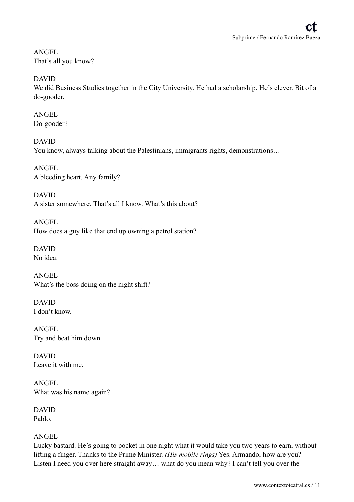ANGEL That's all you know?

DAVID

We did Business Studies together in the City University. He had a scholarship. He's clever. Bit of a do-gooder.

ANGEL Do-gooder?

DAVID You know, always talking about the Palestinians, immigrants rights, demonstrations…

ANGEL A bleeding heart. Any family?

DAVID A sister somewhere. That's all I know. What's this about?

ANGEL How does a guy like that end up owning a petrol station?

DAVID No idea.

ANGEL What's the boss doing on the night shift?

DAVID I don't know.

ANGEL Try and beat him down.

DAVID Leave it with me.

ANGEL What was his name again?

DAVID Pablo.

ANGEL

Lucky bastard. He's going to pocket in one night what it would take you two years to earn, without lifting a finger. Thanks to the Prime Minister. *(His mobile rings)* Yes. Armando, how are you? Listen I need you over here straight away… what do you mean why? I can't tell you over the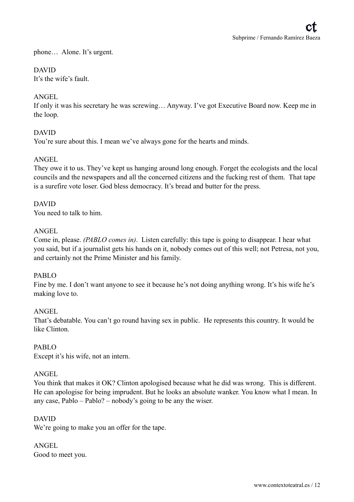phone… Alone. It's urgent.

# DAVID

It's the wife's fault.

#### ANGEL

If only it was his secretary he was screwing… Anyway. I've got Executive Board now. Keep me in the loop.

#### DAVID

You're sure about this. I mean we've always gone for the hearts and minds.

#### ANGEL

They owe it to us. They've kept us hanging around long enough. Forget the ecologists and the local councils and the newspapers and all the concerned citizens and the fucking rest of them. That tape is a surefire vote loser. God bless democracy. It's bread and butter for the press.

#### DAVID

You need to talk to him.

#### ANGEL

Come in, please. *(PABLO comes in)*. Listen carefully: this tape is going to disappear. I hear what you said, but if a journalist gets his hands on it, nobody comes out of this well; not Petresa, not you, and certainly not the Prime Minister and his family.

#### PABLO

Fine by me. I don't want anyone to see it because he's not doing anything wrong. It's his wife he's making love to.

#### ANGEL

That's debatable. You can't go round having sex in public. He represents this country. It would be like Clinton.

#### PABLO

Except it's his wife, not an intern.

#### ANGEL

You think that makes it OK? Clinton apologised because what he did was wrong. This is different. He can apologise for being imprudent. But he looks an absolute wanker. You know what I mean. In any case, Pablo – Pablo? – nobody's going to be any the wiser.

#### DAVID

We're going to make you an offer for the tape.

ANGEL Good to meet you.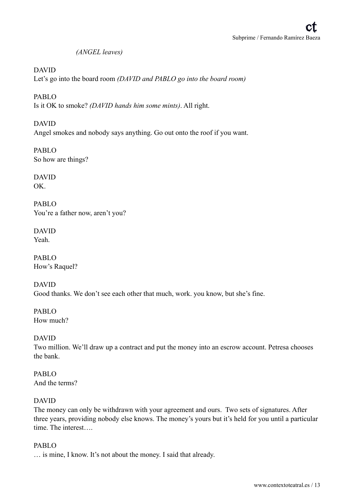*(ANGEL leaves)* 

#### DAVID

Let's go into the board room *(DAVID and PABLO go into the board room)* 

PABLO Is it OK to smoke? *(DAVID hands him some mints)*. All right.

DAVID Angel smokes and nobody says anything. Go out onto the roof if you want.

PABLO So how are things?

DAVID OK.

PABLO You're a father now, aren't you?

DAVID Yeah.

PABLO How's Raquel?

DAVID Good thanks. We don't see each other that much, work. you know, but she's fine.

PABLO How much?

DAVID Two million. We'll draw up a contract and put the money into an escrow account. Petresa chooses the bank.

PABLO And the terms?

#### DAVID

The money can only be withdrawn with your agreement and ours. Two sets of signatures. After three years, providing nobody else knows. The money's yours but it's held for you until a particular time. The interest….

#### PABLO

… is mine, I know. It's not about the money. I said that already.